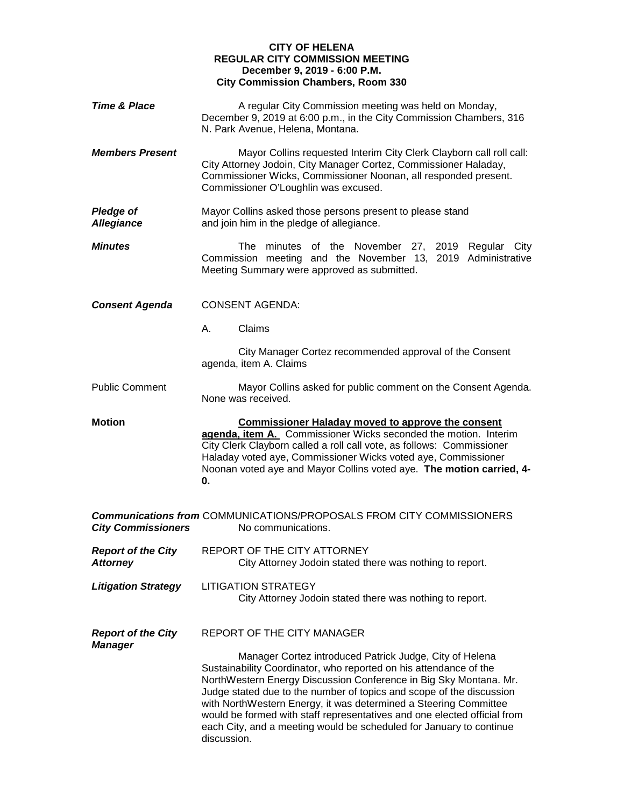## **CITY OF HELENA REGULAR CITY COMMISSION MEETING December 9, 2019 - 6:00 P.M. City Commission Chambers, Room 330**

| <b>Time &amp; Place</b>                      | A regular City Commission meeting was held on Monday,<br>December 9, 2019 at 6:00 p.m., in the City Commission Chambers, 316<br>N. Park Avenue, Helena, Montana.                                                                                                                                                                                                                                                                                                                                                |
|----------------------------------------------|-----------------------------------------------------------------------------------------------------------------------------------------------------------------------------------------------------------------------------------------------------------------------------------------------------------------------------------------------------------------------------------------------------------------------------------------------------------------------------------------------------------------|
| <b>Members Present</b>                       | Mayor Collins requested Interim City Clerk Clayborn call roll call:<br>City Attorney Jodoin, City Manager Cortez, Commissioner Haladay,<br>Commissioner Wicks, Commissioner Noonan, all responded present.<br>Commissioner O'Loughlin was excused.                                                                                                                                                                                                                                                              |
| <b>Pledge of</b><br><b>Allegiance</b>        | Mayor Collins asked those persons present to please stand<br>and join him in the pledge of allegiance.                                                                                                                                                                                                                                                                                                                                                                                                          |
| <b>Minutes</b>                               | The<br>minutes of the November 27, 2019 Regular City<br>Commission meeting and the November 13, 2019 Administrative<br>Meeting Summary were approved as submitted.                                                                                                                                                                                                                                                                                                                                              |
| <b>Consent Agenda</b>                        | <b>CONSENT AGENDA:</b>                                                                                                                                                                                                                                                                                                                                                                                                                                                                                          |
|                                              | Claims<br>А.                                                                                                                                                                                                                                                                                                                                                                                                                                                                                                    |
|                                              | City Manager Cortez recommended approval of the Consent<br>agenda, item A. Claims                                                                                                                                                                                                                                                                                                                                                                                                                               |
| <b>Public Comment</b>                        | Mayor Collins asked for public comment on the Consent Agenda.<br>None was received.                                                                                                                                                                                                                                                                                                                                                                                                                             |
| <b>Motion</b>                                | <b>Commissioner Haladay moved to approve the consent</b><br>agenda, item A. Commissioner Wicks seconded the motion. Interim<br>City Clerk Clayborn called a roll call vote, as follows: Commissioner<br>Haladay voted aye, Commissioner Wicks voted aye, Commissioner<br>Noonan voted aye and Mayor Collins voted aye. The motion carried, 4-<br>0.                                                                                                                                                             |
| <b>City Commissioners</b>                    | <b>Communications from COMMUNICATIONS/PROPOSALS FROM CITY COMMISSIONERS</b><br>No communications.                                                                                                                                                                                                                                                                                                                                                                                                               |
| <b>Report of the City</b><br><b>Attorney</b> | REPORT OF THE CITY ATTORNEY<br>City Attorney Jodoin stated there was nothing to report.                                                                                                                                                                                                                                                                                                                                                                                                                         |
| <b>Litigation Strategy</b>                   | <b>LITIGATION STRATEGY</b><br>City Attorney Jodoin stated there was nothing to report.                                                                                                                                                                                                                                                                                                                                                                                                                          |
| <b>Report of the City</b><br><b>Manager</b>  | <b>REPORT OF THE CITY MANAGER</b>                                                                                                                                                                                                                                                                                                                                                                                                                                                                               |
|                                              | Manager Cortez introduced Patrick Judge, City of Helena<br>Sustainability Coordinator, who reported on his attendance of the<br>NorthWestern Energy Discussion Conference in Big Sky Montana. Mr.<br>Judge stated due to the number of topics and scope of the discussion<br>with NorthWestern Energy, it was determined a Steering Committee<br>would be formed with staff representatives and one elected official from<br>each City, and a meeting would be scheduled for January to continue<br>discussion. |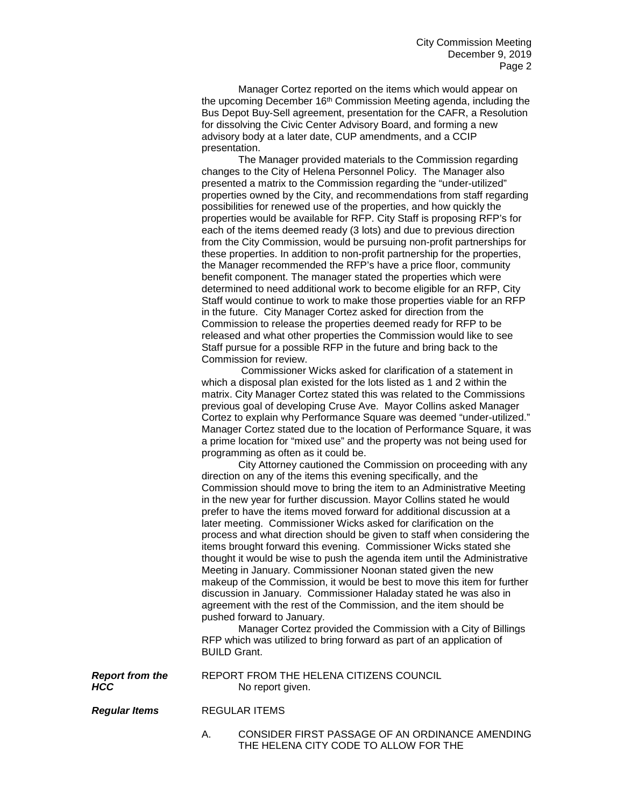Manager Cortez reported on the items which would appear on the upcoming December 16<sup>th</sup> Commission Meeting agenda, including the Bus Depot Buy-Sell agreement, presentation for the CAFR, a Resolution for dissolving the Civic Center Advisory Board, and forming a new advisory body at a later date, CUP amendments, and a CCIP presentation.

The Manager provided materials to the Commission regarding changes to the City of Helena Personnel Policy. The Manager also presented a matrix to the Commission regarding the "under-utilized" properties owned by the City, and recommendations from staff regarding possibilities for renewed use of the properties, and how quickly the properties would be available for RFP. City Staff is proposing RFP's for each of the items deemed ready (3 lots) and due to previous direction from the City Commission, would be pursuing non-profit partnerships for these properties. In addition to non-profit partnership for the properties, the Manager recommended the RFP's have a price floor, community benefit component. The manager stated the properties which were determined to need additional work to become eligible for an RFP, City Staff would continue to work to make those properties viable for an RFP in the future. City Manager Cortez asked for direction from the Commission to release the properties deemed ready for RFP to be released and what other properties the Commission would like to see Staff pursue for a possible RFP in the future and bring back to the Commission for review.

Commissioner Wicks asked for clarification of a statement in which a disposal plan existed for the lots listed as 1 and 2 within the matrix. City Manager Cortez stated this was related to the Commissions previous goal of developing Cruse Ave. Mayor Collins asked Manager Cortez to explain why Performance Square was deemed "under-utilized." Manager Cortez stated due to the location of Performance Square, it was a prime location for "mixed use" and the property was not being used for programming as often as it could be.

City Attorney cautioned the Commission on proceeding with any direction on any of the items this evening specifically, and the Commission should move to bring the item to an Administrative Meeting in the new year for further discussion. Mayor Collins stated he would prefer to have the items moved forward for additional discussion at a later meeting. Commissioner Wicks asked for clarification on the process and what direction should be given to staff when considering the items brought forward this evening. Commissioner Wicks stated she thought it would be wise to push the agenda item until the Administrative Meeting in January. Commissioner Noonan stated given the new makeup of the Commission, it would be best to move this item for further discussion in January. Commissioner Haladay stated he was also in agreement with the rest of the Commission, and the item should be pushed forward to January.

Manager Cortez provided the Commission with a City of Billings RFP which was utilized to bring forward as part of an application of BUILD Grant.

**Report from the BEPORT FROM THE HELENA CITIZENS COUNCIL**<br>**RCC** Mo report given. No report given.

*Regular Items* REGULAR ITEMS

A. CONSIDER FIRST PASSAGE OF AN ORDINANCE AMENDING THE HELENA CITY CODE TO ALLOW FOR THE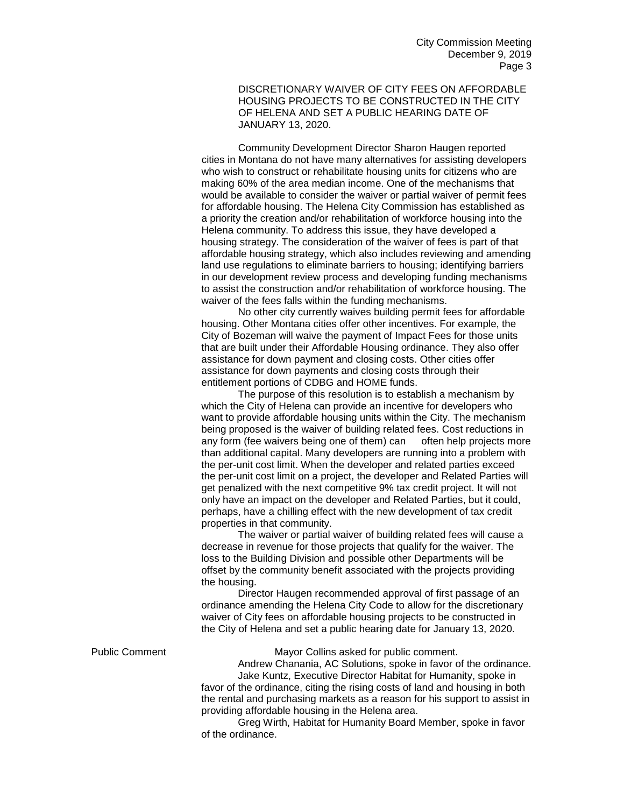DISCRETIONARY WAIVER OF CITY FEES ON AFFORDABLE HOUSING PROJECTS TO BE CONSTRUCTED IN THE CITY OF HELENA AND SET A PUBLIC HEARING DATE OF JANUARY 13, 2020.

Community Development Director Sharon Haugen reported cities in Montana do not have many alternatives for assisting developers who wish to construct or rehabilitate housing units for citizens who are making 60% of the area median income. One of the mechanisms that would be available to consider the waiver or partial waiver of permit fees for affordable housing. The Helena City Commission has established as a priority the creation and/or rehabilitation of workforce housing into the Helena community. To address this issue, they have developed a housing strategy. The consideration of the waiver of fees is part of that affordable housing strategy, which also includes reviewing and amending land use regulations to eliminate barriers to housing; identifying barriers in our development review process and developing funding mechanisms to assist the construction and/or rehabilitation of workforce housing. The waiver of the fees falls within the funding mechanisms.

No other city currently waives building permit fees for affordable housing. Other Montana cities offer other incentives. For example, the City of Bozeman will waive the payment of Impact Fees for those units that are built under their Affordable Housing ordinance. They also offer assistance for down payment and closing costs. Other cities offer assistance for down payments and closing costs through their entitlement portions of CDBG and HOME funds.

The purpose of this resolution is to establish a mechanism by which the City of Helena can provide an incentive for developers who want to provide affordable housing units within the City. The mechanism being proposed is the waiver of building related fees. Cost reductions in any form (fee waivers being one of them) can often help projects more than additional capital. Many developers are running into a problem with the per-unit cost limit. When the developer and related parties exceed the per-unit cost limit on a project, the developer and Related Parties will get penalized with the next competitive 9% tax credit project. It will not only have an impact on the developer and Related Parties, but it could, perhaps, have a chilling effect with the new development of tax credit properties in that community.

The waiver or partial waiver of building related fees will cause a decrease in revenue for those projects that qualify for the waiver. The loss to the Building Division and possible other Departments will be offset by the community benefit associated with the projects providing the housing.

Director Haugen recommended approval of first passage of an ordinance amending the Helena City Code to allow for the discretionary waiver of City fees on affordable housing projects to be constructed in the City of Helena and set a public hearing date for January 13, 2020.

Public Comment Mayor Collins asked for public comment.

Andrew Chanania, AC Solutions, spoke in favor of the ordinance. Jake Kuntz, Executive Director Habitat for Humanity, spoke in favor of the ordinance, citing the rising costs of land and housing in both the rental and purchasing markets as a reason for his support to assist in providing affordable housing in the Helena area.

Greg Wirth, Habitat for Humanity Board Member, spoke in favor of the ordinance.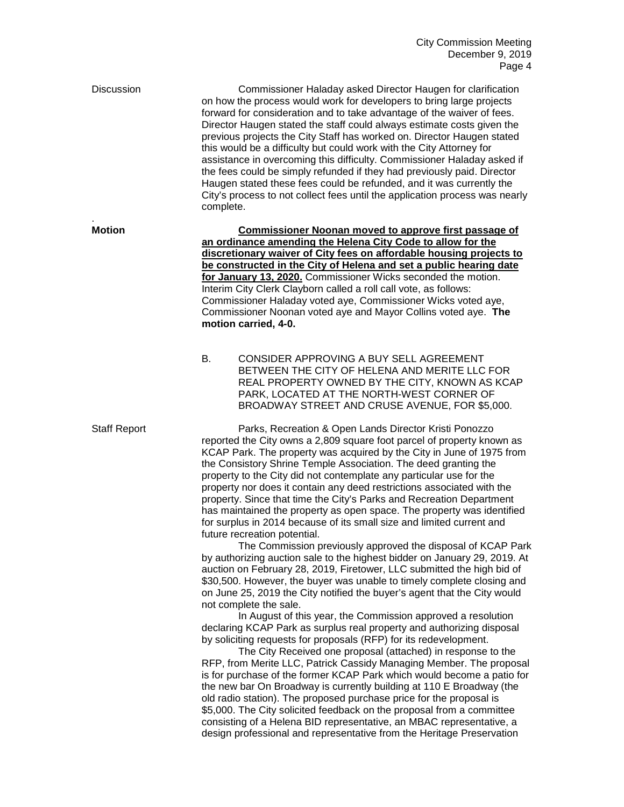Discussion Commissioner Haladay asked Director Haugen for clarification on how the process would work for developers to bring large projects forward for consideration and to take advantage of the waiver of fees. Director Haugen stated the staff could always estimate costs given the previous projects the City Staff has worked on. Director Haugen stated this would be a difficulty but could work with the City Attorney for assistance in overcoming this difficulty. Commissioner Haladay asked if the fees could be simply refunded if they had previously paid. Director Haugen stated these fees could be refunded, and it was currently the City's process to not collect fees until the application process was nearly complete. .

**Motion Commissioner Noonan moved to approve first passage of an ordinance amending the Helena City Code to allow for the discretionary waiver of City fees on affordable housing projects to be constructed in the City of Helena and set a public hearing date for January 13, 2020.** Commissioner Wicks seconded the motion. Interim City Clerk Clayborn called a roll call vote, as follows: Commissioner Haladay voted aye, Commissioner Wicks voted aye, Commissioner Noonan voted aye and Mayor Collins voted aye. **The motion carried, 4-0.**

> B. CONSIDER APPROVING A BUY SELL AGREEMENT BETWEEN THE CITY OF HELENA AND MERITE LLC FOR REAL PROPERTY OWNED BY THE CITY, KNOWN AS KCAP PARK, LOCATED AT THE NORTH-WEST CORNER OF BROADWAY STREET AND CRUSE AVENUE, FOR \$5,000.

Staff Report Parks, Recreation & Open Lands Director Kristi Ponozzo reported the City owns a 2,809 square foot parcel of property known as KCAP Park. The property was acquired by the City in June of 1975 from the Consistory Shrine Temple Association. The deed granting the property to the City did not contemplate any particular use for the property nor does it contain any deed restrictions associated with the property. Since that time the City's Parks and Recreation Department has maintained the property as open space. The property was identified for surplus in 2014 because of its small size and limited current and future recreation potential.

> The Commission previously approved the disposal of KCAP Park by authorizing auction sale to the highest bidder on January 29, 2019. At auction on February 28, 2019, Firetower, LLC submitted the high bid of \$30,500. However, the buyer was unable to timely complete closing and on June 25, 2019 the City notified the buyer's agent that the City would not complete the sale.

In August of this year, the Commission approved a resolution declaring KCAP Park as surplus real property and authorizing disposal by soliciting requests for proposals (RFP) for its redevelopment.

The City Received one proposal (attached) in response to the RFP, from Merite LLC, Patrick Cassidy Managing Member. The proposal is for purchase of the former KCAP Park which would become a patio for the new bar On Broadway is currently building at 110 E Broadway (the old radio station). The proposed purchase price for the proposal is \$5,000. The City solicited feedback on the proposal from a committee consisting of a Helena BID representative, an MBAC representative, a design professional and representative from the Heritage Preservation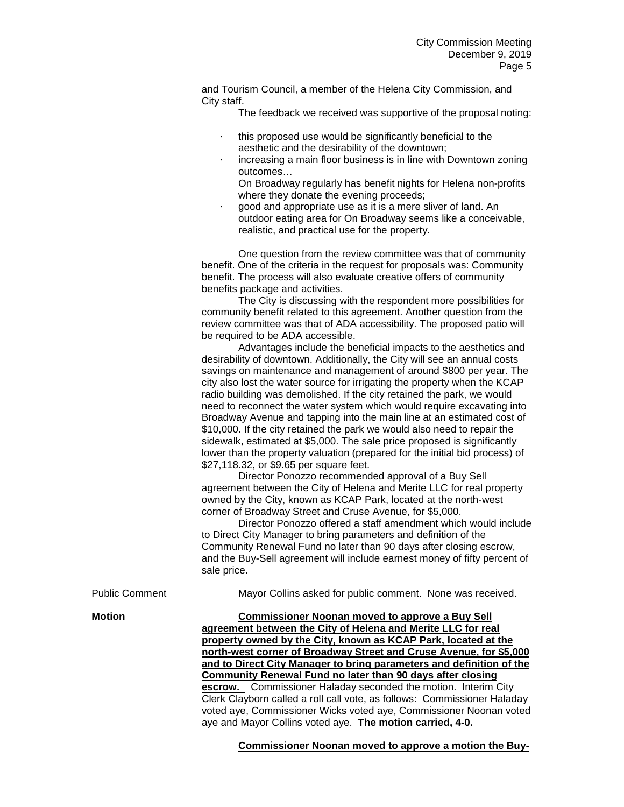and Tourism Council, a member of the Helena City Commission, and City staff.

The feedback we received was supportive of the proposal noting:

- **·** this proposed use would be significantly beneficial to the aesthetic and the desirability of the downtown;
- **·** increasing a main floor business is in line with Downtown zoning outcomes…
	- On Broadway regularly has benefit nights for Helena non-profits where they donate the evening proceeds;
- **·** good and appropriate use as it is a mere sliver of land. An outdoor eating area for On Broadway seems like a conceivable, realistic, and practical use for the property.

One question from the review committee was that of community benefit. One of the criteria in the request for proposals was: Community benefit. The process will also evaluate creative offers of community benefits package and activities.

The City is discussing with the respondent more possibilities for community benefit related to this agreement. Another question from the review committee was that of ADA accessibility. The proposed patio will be required to be ADA accessible.

Advantages include the beneficial impacts to the aesthetics and desirability of downtown. Additionally, the City will see an annual costs savings on maintenance and management of around \$800 per year. The city also lost the water source for irrigating the property when the KCAP radio building was demolished. If the city retained the park, we would need to reconnect the water system which would require excavating into Broadway Avenue and tapping into the main line at an estimated cost of \$10,000. If the city retained the park we would also need to repair the sidewalk, estimated at \$5,000. The sale price proposed is significantly lower than the property valuation (prepared for the initial bid process) of \$27,118.32, or \$9.65 per square feet.

Director Ponozzo recommended approval of a Buy Sell agreement between the City of Helena and Merite LLC for real property owned by the City, known as KCAP Park, located at the north-west corner of Broadway Street and Cruse Avenue, for \$5,000.

Director Ponozzo offered a staff amendment which would include to Direct City Manager to bring parameters and definition of the Community Renewal Fund no later than 90 days after closing escrow, and the Buy-Sell agreement will include earnest money of fifty percent of sale price.

| PUDIIC COMMENT | <b>Mayor Collins asked for public comment. None was received.</b>                                                                                                                                                                                                                                                                                                                                                                                                                                                                                                                                                                                                                            |
|----------------|----------------------------------------------------------------------------------------------------------------------------------------------------------------------------------------------------------------------------------------------------------------------------------------------------------------------------------------------------------------------------------------------------------------------------------------------------------------------------------------------------------------------------------------------------------------------------------------------------------------------------------------------------------------------------------------------|
| Motion         | <b>Commissioner Noonan moved to approve a Buy Sell</b><br>agreement between the City of Helena and Merite LLC for real<br>property owned by the City, known as KCAP Park, located at the<br>north-west corner of Broadway Street and Cruse Avenue, for \$5,000<br>and to Direct City Manager to bring parameters and definition of the<br><b>Community Renewal Fund no later than 90 days after closing</b><br>escrow. Commissioner Haladay seconded the motion. Interim City<br>Clerk Clayborn called a roll call vote, as follows: Commissioner Haladay<br>voted aye, Commissioner Wicks voted aye, Commissioner Noonan voted<br>aye and Mayor Collins voted aye. The motion carried, 4-0. |
|                |                                                                                                                                                                                                                                                                                                                                                                                                                                                                                                                                                                                                                                                                                              |

Public Comment Mayor Collins asked for public comment. None was received.

**Commissioner Noonan moved to approve a motion the Buy-**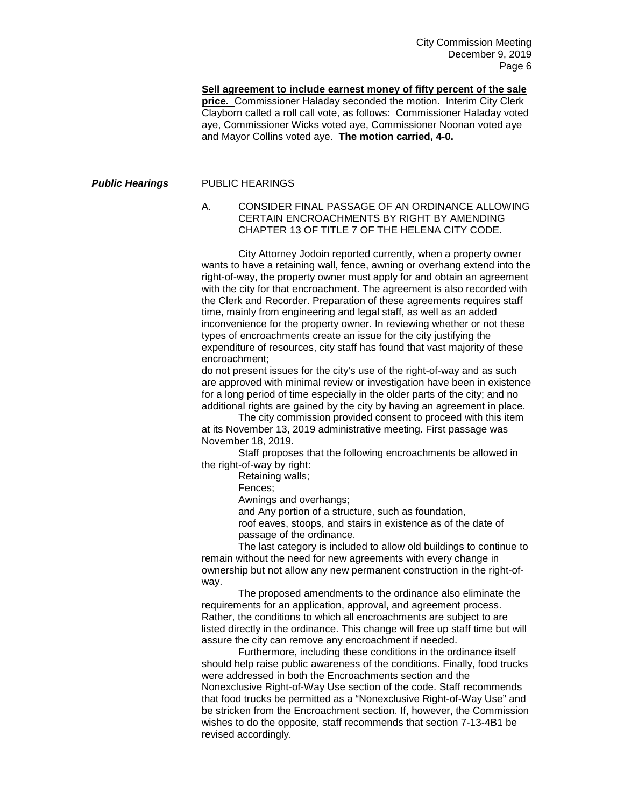**Sell agreement to include earnest money of fifty percent of the sale**  price. Commissioner Haladay seconded the motion. Interim City Clerk Clayborn called a roll call vote, as follows: Commissioner Haladay voted aye, Commissioner Wicks voted aye, Commissioner Noonan voted aye and Mayor Collins voted aye. **The motion carried, 4-0.**

## **Public Hearings** PUBLIC HEARINGS

## A. CONSIDER FINAL PASSAGE OF AN ORDINANCE ALLOWING CERTAIN ENCROACHMENTS BY RIGHT BY AMENDING CHAPTER 13 OF TITLE 7 OF THE HELENA CITY CODE.

City Attorney Jodoin reported currently, when a property owner wants to have a retaining wall, fence, awning or overhang extend into the right-of-way, the property owner must apply for and obtain an agreement with the city for that encroachment. The agreement is also recorded with the Clerk and Recorder. Preparation of these agreements requires staff time, mainly from engineering and legal staff, as well as an added inconvenience for the property owner. In reviewing whether or not these types of encroachments create an issue for the city justifying the expenditure of resources, city staff has found that vast majority of these encroachment;

do not present issues for the city's use of the right-of-way and as such are approved with minimal review or investigation have been in existence for a long period of time especially in the older parts of the city; and no additional rights are gained by the city by having an agreement in place.

The city commission provided consent to proceed with this item at its November 13, 2019 administrative meeting. First passage was November 18, 2019.

Staff proposes that the following encroachments be allowed in the right-of-way by right:

Retaining walls;

Fences;

Awnings and overhangs;

and Any portion of a structure, such as foundation,

roof eaves, stoops, and stairs in existence as of the date of passage of the ordinance.

The last category is included to allow old buildings to continue to remain without the need for new agreements with every change in ownership but not allow any new permanent construction in the right-ofway.

The proposed amendments to the ordinance also eliminate the requirements for an application, approval, and agreement process. Rather, the conditions to which all encroachments are subject to are listed directly in the ordinance. This change will free up staff time but will assure the city can remove any encroachment if needed.

Furthermore, including these conditions in the ordinance itself should help raise public awareness of the conditions. Finally, food trucks were addressed in both the Encroachments section and the Nonexclusive Right-of-Way Use section of the code. Staff recommends that food trucks be permitted as a "Nonexclusive Right-of-Way Use" and be stricken from the Encroachment section. If, however, the Commission wishes to do the opposite, staff recommends that section 7-13-4B1 be revised accordingly.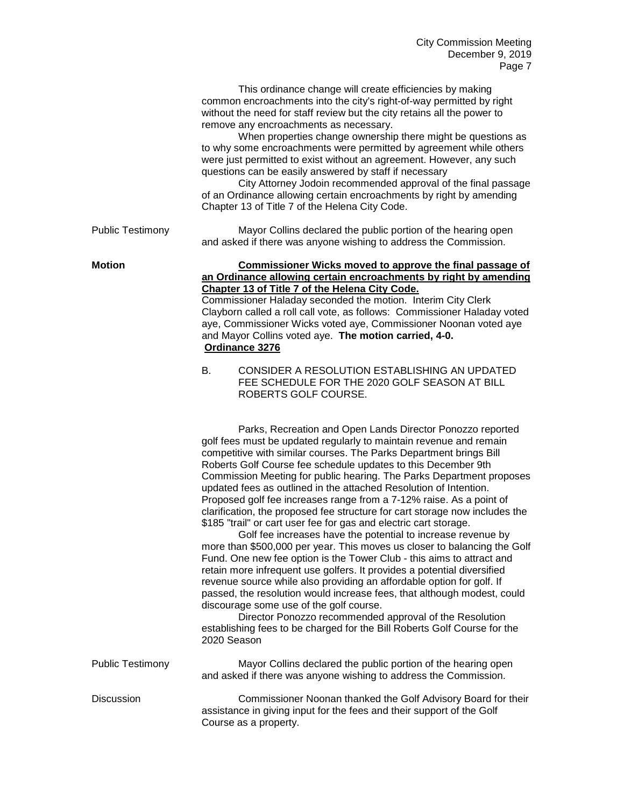|                         | ayu r                                                                                                                                                                                                                                                                                                                                                                                                                                                                                                                                                                                                                                                                                                                                                                                                                                                                                                                                                                                                                    |
|-------------------------|--------------------------------------------------------------------------------------------------------------------------------------------------------------------------------------------------------------------------------------------------------------------------------------------------------------------------------------------------------------------------------------------------------------------------------------------------------------------------------------------------------------------------------------------------------------------------------------------------------------------------------------------------------------------------------------------------------------------------------------------------------------------------------------------------------------------------------------------------------------------------------------------------------------------------------------------------------------------------------------------------------------------------|
|                         | This ordinance change will create efficiencies by making<br>common encroachments into the city's right-of-way permitted by right<br>without the need for staff review but the city retains all the power to<br>remove any encroachments as necessary.<br>When properties change ownership there might be questions as<br>to why some encroachments were permitted by agreement while others<br>were just permitted to exist without an agreement. However, any such<br>questions can be easily answered by staff if necessary<br>City Attorney Jodoin recommended approval of the final passage<br>of an Ordinance allowing certain encroachments by right by amending<br>Chapter 13 of Title 7 of the Helena City Code.                                                                                                                                                                                                                                                                                                 |
| <b>Public Testimony</b> | Mayor Collins declared the public portion of the hearing open<br>and asked if there was anyone wishing to address the Commission.                                                                                                                                                                                                                                                                                                                                                                                                                                                                                                                                                                                                                                                                                                                                                                                                                                                                                        |
| <b>Motion</b>           | Commissioner Wicks moved to approve the final passage of<br>an Ordinance allowing certain encroachments by right by amending<br>Chapter 13 of Title 7 of the Helena City Code.<br>Commissioner Haladay seconded the motion. Interim City Clerk<br>Clayborn called a roll call vote, as follows: Commissioner Haladay voted<br>aye, Commissioner Wicks voted aye, Commissioner Noonan voted aye<br>and Mayor Collins voted aye. The motion carried, 4-0.<br>Ordinance 3276<br>CONSIDER A RESOLUTION ESTABLISHING AN UPDATED<br>В.<br>FEE SCHEDULE FOR THE 2020 GOLF SEASON AT BILL<br>ROBERTS GOLF COURSE.                                                                                                                                                                                                                                                                                                                                                                                                                |
|                         | Parks, Recreation and Open Lands Director Ponozzo reported<br>golf fees must be updated regularly to maintain revenue and remain<br>competitive with similar courses. The Parks Department brings Bill<br>Roberts Golf Course fee schedule updates to this December 9th<br>Commission Meeting for public hearing. The Parks Department proposes<br>updated fees as outlined in the attached Resolution of Intention.<br>Proposed golf fee increases range from a 7-12% raise. As a point of<br>clarification, the proposed fee structure for cart storage now includes the<br>\$185 "trail" or cart user fee for gas and electric cart storage.<br>Golf fee increases have the potential to increase revenue by<br>more than \$500,000 per year. This moves us closer to balancing the Golf<br>Fund. One new fee option is the Tower Club - this aims to attract and<br>retain more infrequent use golfers. It provides a potential diversified<br>revenue source while also providing an affordable option for golf. If |

passed, the resolution would increase fees, that although modest, could discourage some use of the golf course. Director Ponozzo recommended approval of the Resolution

establishing fees to be charged for the Bill Roberts Golf Course for the 2020 Season

Public Testimony Mayor Collins declared the public portion of the hearing open and asked if there was anyone wishing to address the Commission.

Discussion Commissioner Noonan thanked the Golf Advisory Board for their assistance in giving input for the fees and their support of the Golf Course as a property.